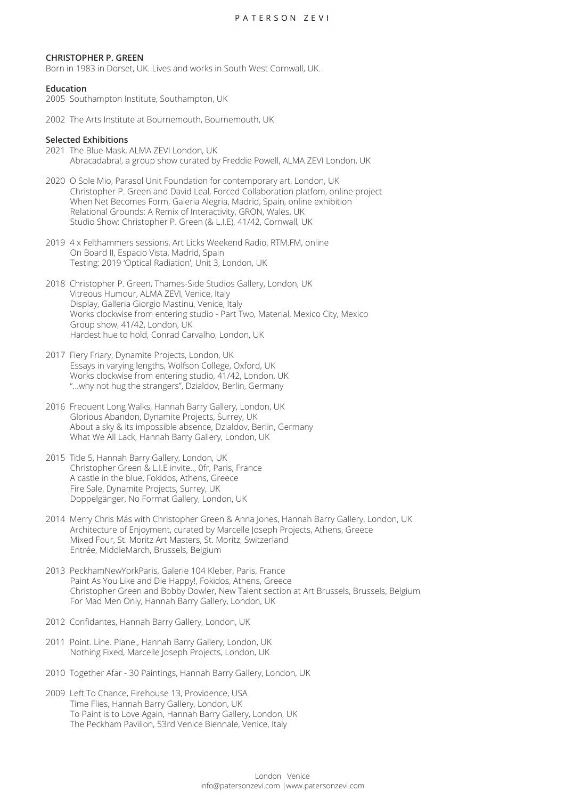## **CHRISTOPHER P. GREEN**

Born in 1983 in Dorset, UK. Lives and works in South West Cornwall, UK.

## **Education**

2005 Southampton Institute, Southampton, UK

2002 The Arts Institute at Bournemouth, Bournemouth, UK

## **Selected Exhibitions**

- 2021 The Blue Mask, ALMA ZEVI London, UK Abracadabra!, a group show curated by Freddie Powell, ALMA ZEVI London, UK
- 2020 O Sole Mio, Parasol Unit Foundation for contemporary art, London, UK Christopher P. Green and David Leal, Forced Collaboration platfom, online project When Net Becomes Form, Galeria Alegria, Madrid, Spain, online exhibition Relational Grounds: A Remix of Interactivity, GRON, Wales, UK Studio Show: Christopher P. Green (& L.I.E), 41/42, Cornwall, UK
- 2019 4 x Felthammers sessions, Art Licks Weekend Radio, RTM.FM, online On Board II, Espacio Vista, Madrid, Spain Testing: 2019 'Optical Radiation', Unit 3, London, UK
- 2018 Christopher P. Green, Thames-Side Studios Gallery, London, UK Vitreous Humour, ALMA ZEVI, Venice, Italy Display, Galleria Giorgio Mastinu, Venice, Italy Works clockwise from entering studio - Part Two, Material, Mexico City, Mexico Group show, 41/42, London, UK Hardest hue to hold, Conrad Carvalho, London, UK
- 2017 Fiery Friary, Dynamite Projects, London, UK Essays in varying lengths, Wolfson College, Oxford, UK Works clockwise from entering studio, 41/42, London, UK "…why not hug the strangers", Dzialdov, Berlin, Germany
- 2016 Frequent Long Walks, Hannah Barry Gallery, London, UK Glorious Abandon, Dynamite Projects, Surrey, UK About a sky & its impossible absence, Dzialdov, Berlin, Germany What We All Lack, Hannah Barry Gallery, London, UK
- 2015 Title 5, Hannah Barry Gallery, London, UK Christopher Green & L.I.E invite.., 0fr, Paris, France A castle in the blue, Fokidos, Athens, Greece Fire Sale, Dynamite Projects, Surrey, UK Doppelgänger, No Format Gallery, London, UK
- 2014 Merry Chris Más with Christopher Green & Anna Jones, Hannah Barry Gallery, London, UK Architecture of Enjoyment, curated by Marcelle Joseph Projects, Athens, Greece Mixed Four, St. Moritz Art Masters, St. Moritz, Switzerland Entrée, MiddleMarch, Brussels, Belgium
- 2013 PeckhamNewYorkParis, Galerie 104 Kleber, Paris, France Paint As You Like and Die Happy!, Fokidos, Athens, Greece Christopher Green and Bobby Dowler, New Talent section at Art Brussels, Brussels, Belgium For Mad Men Only, Hannah Barry Gallery, London, UK
- 2012 Confidantes, Hannah Barry Gallery, London, UK
- 2011 Point. Line. Plane., Hannah Barry Gallery, London, UK Nothing Fixed, Marcelle Joseph Projects, London, UK
- 2010 Together Afar 30 Paintings, Hannah Barry Gallery, London, UK
- 2009 Left To Chance, Firehouse 13, Providence, USA Time Flies, Hannah Barry Gallery, London, UK To Paint is to Love Again, Hannah Barry Gallery, London, UK The Peckham Pavilion, 53rd Venice Biennale, Venice, Italy